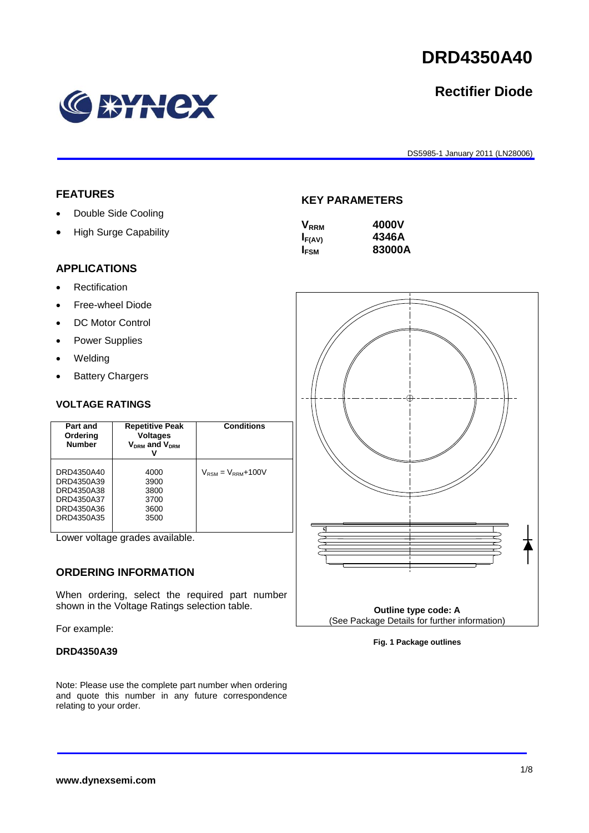# **DRD4350A40**

# **Rectifier Diode**

DS5985-1 January 2011 (LN28006)

# **FEATURES**

- Double Side Cooling
- High Surge Capability

EYNEX

#### **KEY PARAMETERS**

| 4000V  |
|--------|
| 4346A  |
| 83000A |
|        |

#### **APPLICATIONS**

- Rectification
- Free-wheel Diode
- DC Motor Control
- Power Supplies
- Welding
- Battery Chargers

#### **VOLTAGE RATINGS**

| Part and<br>Ordering<br><b>Number</b>                                            | <b>Repetitive Peak</b><br><b>Voltages</b><br>$V_{DRM}$ and $V_{DRM}$<br>v | <b>Conditions</b>                        |
|----------------------------------------------------------------------------------|---------------------------------------------------------------------------|------------------------------------------|
| DRD4350A40<br>DRD4350A39<br>DRD4350A38<br>DRD4350A37<br>DRD4350A36<br>DRD4350A35 | 4000<br>3900<br>3800<br>3700<br>3600<br>3500                              | $V_{\text{RSM}} = V_{\text{RRM}} + 100V$ |

Lower voltage grades available.

#### **ORDERING INFORMATION**

When ordering, select the required part number shown in the Voltage Ratings selection table.

For example:

#### **DRD4350A39**

Note: Please use the complete part number when ordering and quote this number in any future correspondence relating to your order.



**Fig. 1 Package outlines**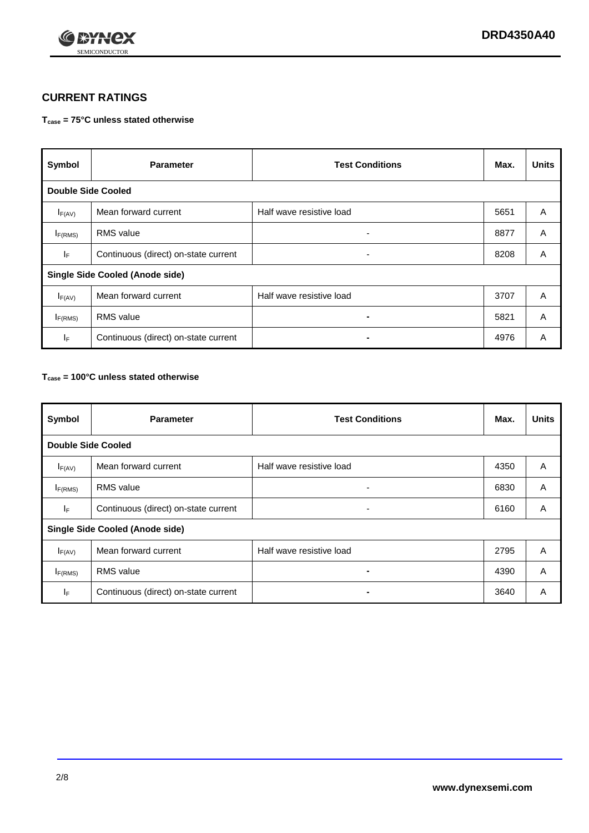

#### **CURRENT RATINGS**

#### **Tcase = 75°C unless stated otherwise**

| Symbol                                 | <b>Parameter</b>                     | <b>Test Conditions</b>   | Max. | <b>Units</b> |  |
|----------------------------------------|--------------------------------------|--------------------------|------|--------------|--|
| <b>Double Side Cooled</b>              |                                      |                          |      |              |  |
| $I_{F(AV)}$                            | Mean forward current                 | Half wave resistive load | 5651 | A            |  |
| $I_{F(RMS)}$                           | <b>RMS</b> value                     | ۰                        | 8877 | A            |  |
| IF.                                    | Continuous (direct) on-state current | ۰                        | 8208 | A            |  |
| <b>Single Side Cooled (Anode side)</b> |                                      |                          |      |              |  |
| $I_{F(AV)}$                            | Mean forward current                 | Half wave resistive load | 3707 | A            |  |
| $I_{F(RMS)}$                           | <b>RMS</b> value                     | $\blacksquare$           | 5821 | A            |  |
| IF.                                    | Continuous (direct) on-state current |                          | 4976 | A            |  |

#### **Tcase = 100°C unless stated otherwise**

| Symbol                                 | <b>Parameter</b>                     | <b>Test Conditions</b>   | Max. | <b>Units</b> |  |
|----------------------------------------|--------------------------------------|--------------------------|------|--------------|--|
| <b>Double Side Cooled</b>              |                                      |                          |      |              |  |
| $I_{F(AV)}$                            | Mean forward current                 | Half wave resistive load | 4350 | A            |  |
| $I_{F(RMS)}$                           | <b>RMS</b> value                     | ٠                        | 6830 | A            |  |
| lF.                                    | Continuous (direct) on-state current | ۰                        | 6160 | A            |  |
| <b>Single Side Cooled (Anode side)</b> |                                      |                          |      |              |  |
| $I_{F(AV)}$                            | Mean forward current                 | Half wave resistive load | 2795 | A            |  |
| I <sub>F(RMS)</sub>                    | <b>RMS</b> value                     | $\blacksquare$           | 4390 | A            |  |
| IF.                                    | Continuous (direct) on-state current | $\blacksquare$           | 3640 | A            |  |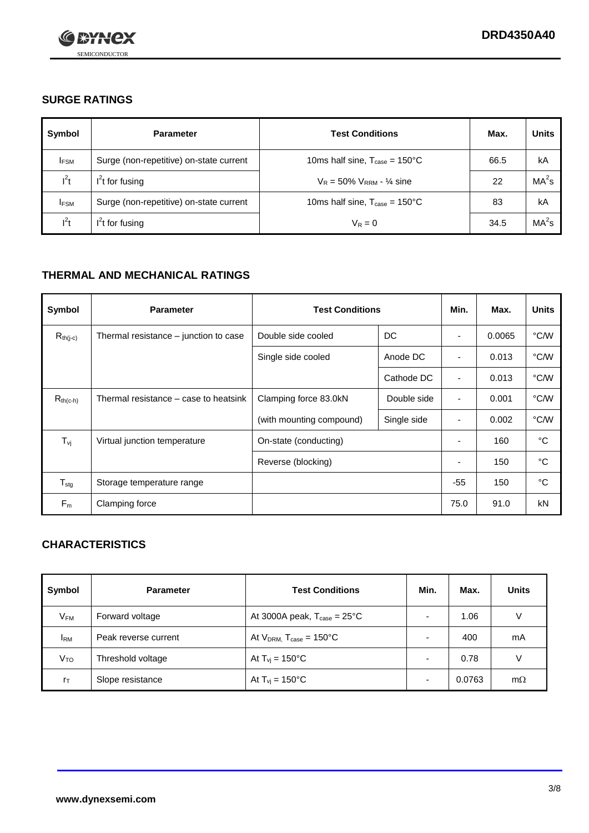

## **SURGE RATINGS**

| Symbol      | <b>Parameter</b>                        | <b>Test Conditions</b>                            | Max. | <b>Units</b>      |
|-------------|-----------------------------------------|---------------------------------------------------|------|-------------------|
| <b>IFSM</b> | Surge (non-repetitive) on-state current | 10ms half sine, $T_{\text{case}} = 150^{\circ}$ C | 66.5 | kA                |
| $l^2t$      | $I2t$ for fusing                        | $V_R = 50\% V_{RRM} - \frac{1}{4}$ sine           | 22   | MA <sup>2</sup> s |
| <b>IFSM</b> | Surge (non-repetitive) on-state current | 10ms half sine, $T_{\text{case}} = 150^{\circ}$ C | 83   | kA                |
| $l^2t$      | $I2t$ for fusing                        | $V_R = 0$                                         | 34.5 | MA <sup>2</sup> S |

## **THERMAL AND MECHANICAL RATINGS**

| Symbol                     | <b>Parameter</b>                      | <b>Test Conditions</b>   |             | Min.                     | Max.   | <b>Units</b> |
|----------------------------|---------------------------------------|--------------------------|-------------|--------------------------|--------|--------------|
| $R_{th(j-c)}$              | Thermal resistance – junction to case | Double side cooled       | DC          | ٠                        | 0.0065 | °C/W         |
|                            |                                       | Single side cooled       | Anode DC    | $\blacksquare$           | 0.013  | °C/W         |
|                            |                                       |                          | Cathode DC  | ٠                        | 0.013  | °C/W         |
| $R_{th(c-h)}$              | Thermal resistance – case to heatsink | Clamping force 83.0kN    | Double side | $\blacksquare$           | 0.001  | °C/W         |
|                            |                                       | (with mounting compound) | Single side | ٠                        | 0.002  | °C/W         |
| $T_{\rm vj}$               | Virtual junction temperature          | On-state (conducting)    |             | $\overline{\phantom{a}}$ | 160    | °C           |
|                            |                                       | Reverse (blocking)       |             | $\overline{\phantom{a}}$ | 150    | °C           |
| ${\mathsf T}_{\text{stg}}$ | Storage temperature range             |                          |             | $-55$                    | 150    | °C           |
| $F_m$                      | Clamping force                        |                          |             | 75.0                     | 91.0   | kN           |

# **CHARACTERISTICS**

| Symbol                   | <b>Parameter</b>     | <b>Test Conditions</b>                         | Min. | Max.   | <b>Units</b> |
|--------------------------|----------------------|------------------------------------------------|------|--------|--------------|
| $\mathsf{V}_\mathsf{FM}$ | Forward voltage      | At 3000A peak, $T_{\text{case}} = 25^{\circ}C$ |      | 1.06   | V            |
| <b>IRM</b>               | Peak reverse current | At $V_{DRM}$ , $T_{case} = 150^{\circ}C$       |      | 400    | mA           |
| Vто                      | Threshold voltage    | At $T_{vi} = 150^{\circ}$ C                    |      | 0.78   |              |
| $r_{\text{T}}$           | Slope resistance     | At $T_{\text{vj}} = 150^{\circ} \text{C}$      |      | 0.0763 | $m\Omega$    |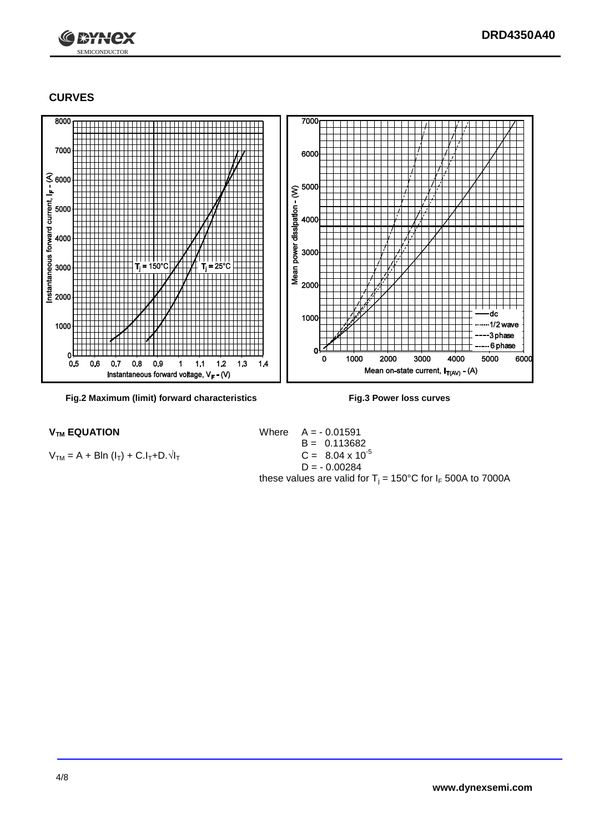

#### **CURVES**

SEMICONDUCTOR

 $1*Y$ 



**Fig.2 Maximum (limit) forward characteristics Fig.3 Power loss curves**

 $V_{TM} = A + BIn (I_T) + C.I_T + D.\sqrt{I_T}$ 

 $V_{TM}$  **EQUATION** Where  $A = -0.01591$ B =  $0.113682$ <br>C =  $8.04 \times 10^{-5}$  $D = -0.00284$ these values are valid for  $T_j = 150^{\circ}$ C for  $I_F$  500A to 7000A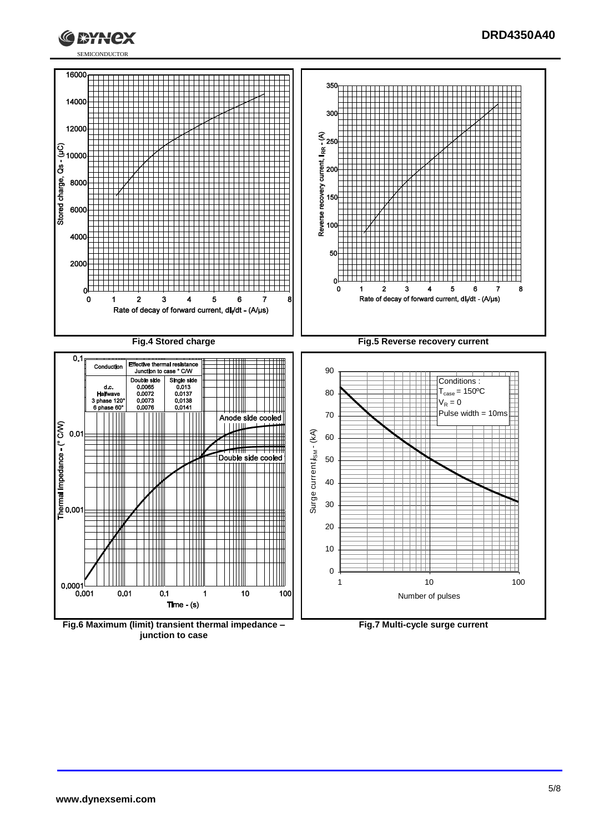



**junction to case**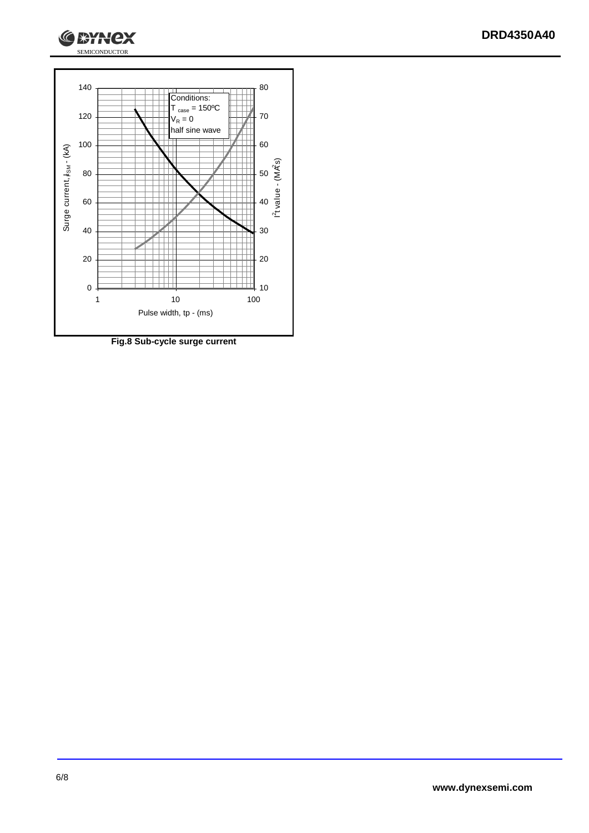



**Fig.8 Sub-cycle surge current**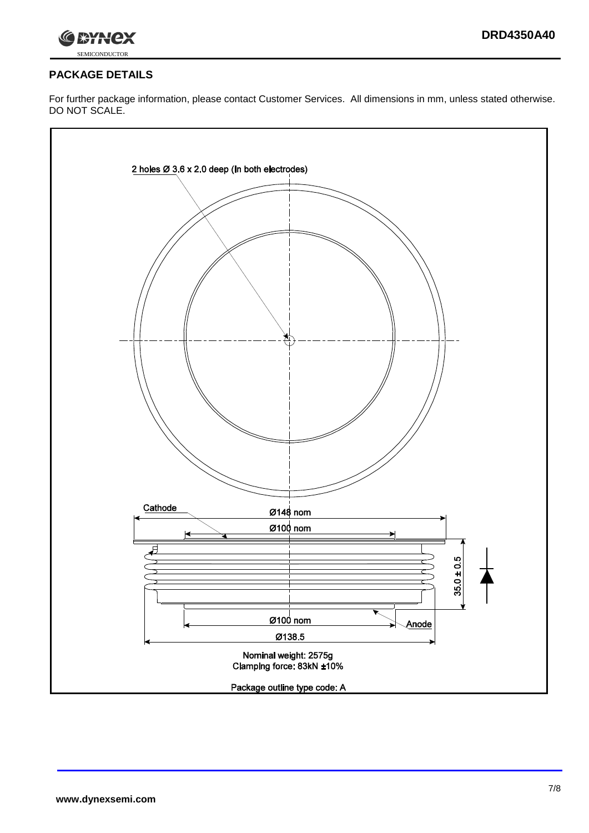



#### **PACKAGE DETAILS**

For further package information, please contact Customer Services. All dimensions in mm, unless stated otherwise. DO NOT SCALE.